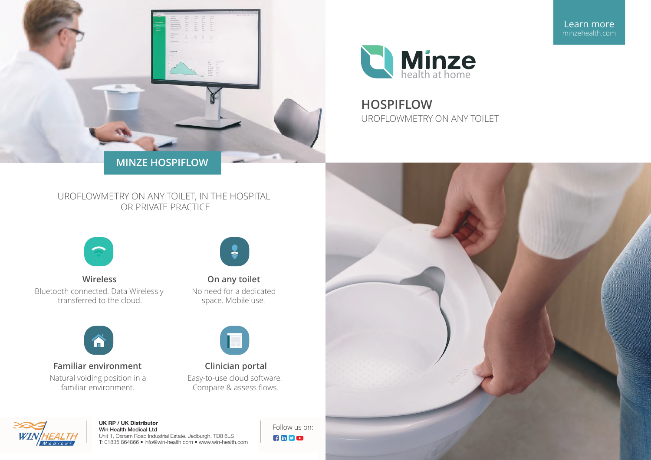



**HOSPIFLOW** UROFLOWMETRY ON ANY TOILET

# UROFLOWMETRY ON ANY TOILET, IN THE HOSPITAL OR PRIVATE PRACTICE



Wireless Bluetooth connected. Data Wirelessly transferred to the cloud.



**Familiar environment** Natural voiding position in a familiar environment.



On any toilet No need for a dedicated space. Mobile use.



Clinician portal Easy-to-use cloud software. Compare & assess flows.



#### UK RP / UK Distributor Win Health Medical Ltd

Unit 1, Oxnam Road Industrial Estate. Jedburgh. TD8 6LS T: 01835 864866 · info@win-health.com · www.win-health.com Follow us on: **Ampo** 



Learn more minzehealth.com